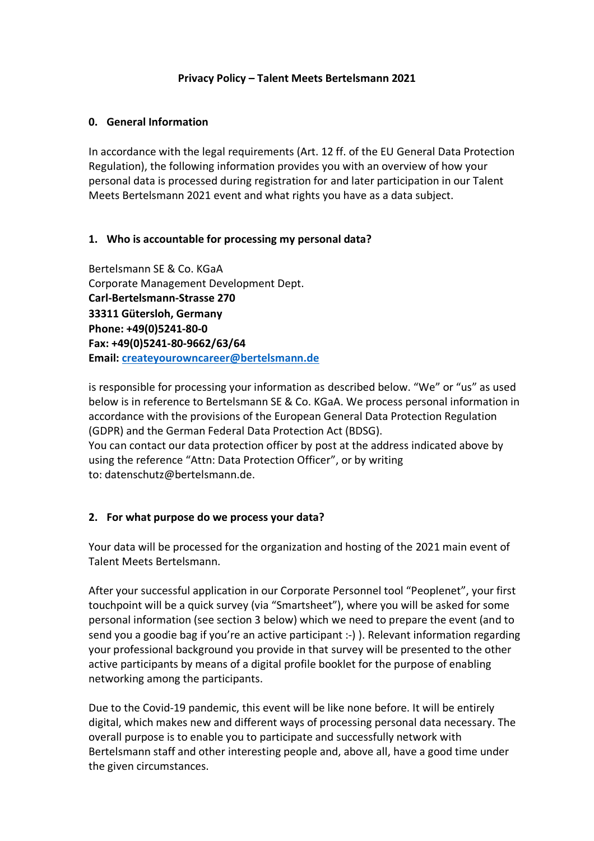#### **Privacy Policy – Talent Meets Bertelsmann 2021**

## **0. General Information**

In accordance with the legal requirements (Art. 12 ff. of the EU General Data Protection Regulation), the following information provides you with an overview of how your personal data is processed during registration for and later participation in our Talent Meets Bertelsmann 2021 event and what rights you have as a data subject.

# **1. Who is accountable for processing my personal data?**

Bertelsmann SE & Co. KGaA Corporate Management Development Dept. **Carl-Bertelsmann-Strasse 270 33311 Gütersloh, Germany Phone: +49(0)5241-80-0 Fax: +49(0)5241-80-9662/63/64 Email: createyourowncareer@bertelsmann.de**

is responsible for processing your information as described below. "We" or "us" as used below is in reference to Bertelsmann SE & Co. KGaA. We process personal information in accordance with the provisions of the European General Data Protection Regulation (GDPR) and the German Federal Data Protection Act (BDSG).

You can contact our data protection officer by post at the address indicated above by using the reference "Attn: Data Protection Officer", or by writing to: datenschutz@bertelsmann.de.

# **2. For what purpose do we process your data?**

Your data will be processed for the organization and hosting of the 2021 main event of Talent Meets Bertelsmann.

After your successful application in our Corporate Personnel tool "Peoplenet", your first touchpoint will be a quick survey (via "Smartsheet"), where you will be asked for some personal information (see section 3 below) which we need to prepare the event (and to send you a goodie bag if you're an active participant :-) ). Relevant information regarding your professional background you provide in that survey will be presented to the other active participants by means of a digital profile booklet for the purpose of enabling networking among the participants.

Due to the Covid-19 pandemic, this event will be like none before. It will be entirely digital, which makes new and different ways of processing personal data necessary. The overall purpose is to enable you to participate and successfully network with Bertelsmann staff and other interesting people and, above all, have a good time under the given circumstances.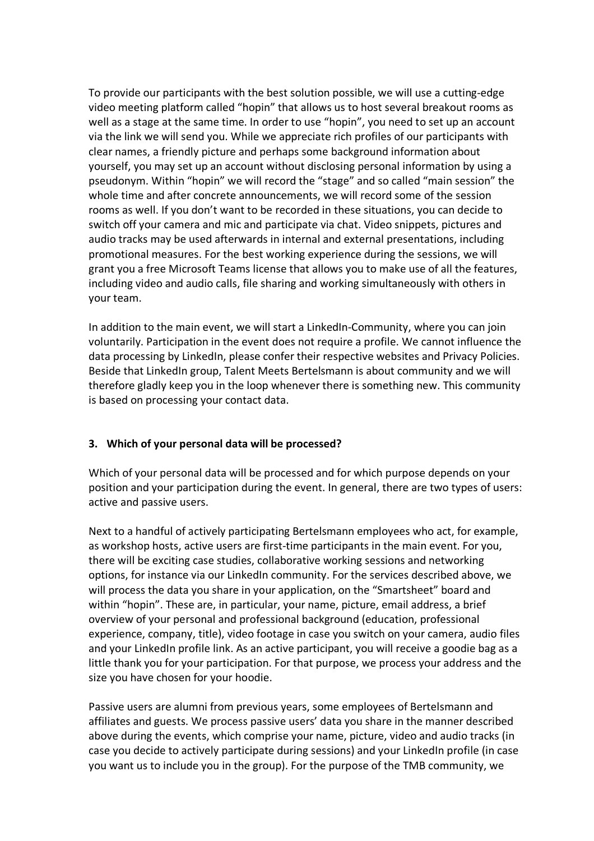To provide our participants with the best solution possible, we will use a cutting-edge video meeting platform called "hopin" that allows us to host several breakout rooms as well as a stage at the same time. In order to use "hopin", you need to set up an account via the link we will send you. While we appreciate rich profiles of our participants with clear names, a friendly picture and perhaps some background information about yourself, you may set up an account without disclosing personal information by using a pseudonym. Within "hopin" we will record the "stage" and so called "main session" the whole time and after concrete announcements, we will record some of the session rooms as well. If you don't want to be recorded in these situations, you can decide to switch off your camera and mic and participate via chat. Video snippets, pictures and audio tracks may be used afterwards in internal and external presentations, including promotional measures. For the best working experience during the sessions, we will grant you a free Microsoft Teams license that allows you to make use of all the features, including video and audio calls, file sharing and working simultaneously with others in your team.

In addition to the main event, we will start a LinkedIn-Community, where you can join voluntarily. Participation in the event does not require a profile. We cannot influence the data processing by LinkedIn, please confer their respective websites and Privacy Policies. Beside that LinkedIn group, Talent Meets Bertelsmann is about community and we will therefore gladly keep you in the loop whenever there is something new. This community is based on processing your contact data.

# **3. Which of your personal data will be processed?**

Which of your personal data will be processed and for which purpose depends on your position and your participation during the event. In general, there are two types of users: active and passive users.

Next to a handful of actively participating Bertelsmann employees who act, for example, as workshop hosts, active users are first-time participants in the main event. For you, there will be exciting case studies, collaborative working sessions and networking options, for instance via our LinkedIn community. For the services described above, we will process the data you share in your application, on the "Smartsheet" board and within "hopin". These are, in particular, your name, picture, email address, a brief overview of your personal and professional background (education, professional experience, company, title), video footage in case you switch on your camera, audio files and your LinkedIn profile link. As an active participant, you will receive a goodie bag as a little thank you for your participation. For that purpose, we process your address and the size you have chosen for your hoodie.

Passive users are alumni from previous years, some employees of Bertelsmann and affiliates and guests. We process passive users' data you share in the manner described above during the events, which comprise your name, picture, video and audio tracks (in case you decide to actively participate during sessions) and your LinkedIn profile (in case you want us to include you in the group). For the purpose of the TMB community, we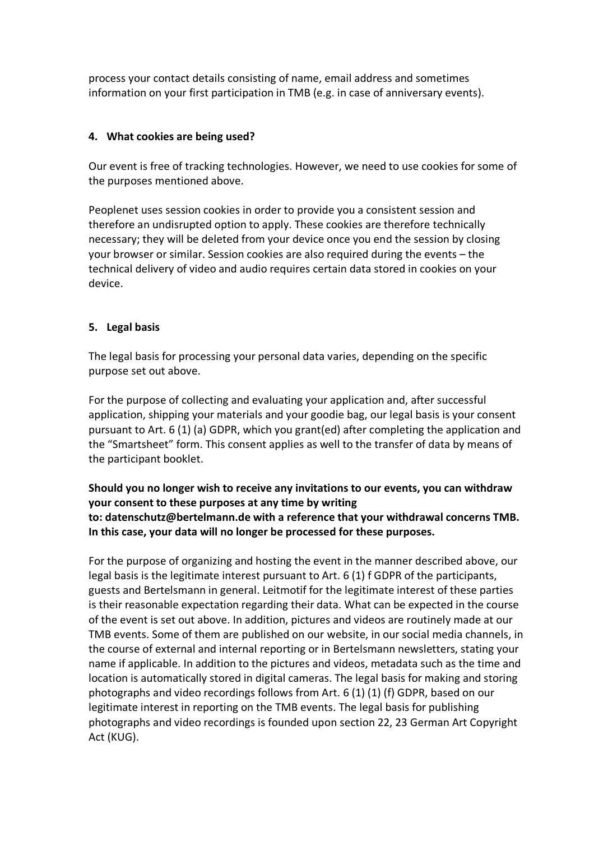process your contact details consisting of name, email address and sometimes information on your first participation in TMB (e.g. in case of anniversary events).

#### **4. What cookies are being used?**

Our event is free of tracking technologies. However, we need to use cookies for some of the purposes mentioned above.

Peoplenet uses session cookies in order to provide you a consistent session and therefore an undisrupted option to apply. These cookies are therefore technically necessary; they will be deleted from your device once you end the session by closing your browser or similar. Session cookies are also required during the events – the technical delivery of video and audio requires certain data stored in cookies on your device.

#### **5. Legal basis**

The legal basis for processing your personal data varies, depending on the specific purpose set out above.

For the purpose of collecting and evaluating your application and, after successful application, shipping your materials and your goodie bag, our legal basis is your consent pursuant to Art. 6 (1) (a) GDPR, which you grant(ed) after completing the application and the "Smartsheet" form. This consent applies as well to the transfer of data by means of the participant booklet.

## **Should you no longer wish to receive any invitations to our events, you can withdraw your consent to these purposes at any time by writing to: datenschutz@bertelmann.de with a reference that your withdrawal concerns TMB. In this case, your data will no longer be processed for these purposes.**

For the purpose of organizing and hosting the event in the manner described above, our legal basis is the legitimate interest pursuant to Art. 6 (1) f GDPR of the participants, guests and Bertelsmann in general. Leitmotif for the legitimate interest of these parties is their reasonable expectation regarding their data. What can be expected in the course of the event is set out above. In addition, pictures and videos are routinely made at our TMB events. Some of them are published on our website, in our social media channels, in the course of external and internal reporting or in Bertelsmann newsletters, stating your name if applicable. In addition to the pictures and videos, metadata such as the time and location is automatically stored in digital cameras. The legal basis for making and storing photographs and video recordings follows from Art. 6 (1) (1) (f) GDPR, based on our legitimate interest in reporting on the TMB events. The legal basis for publishing photographs and video recordings is founded upon section 22, 23 German Art Copyright Act (KUG).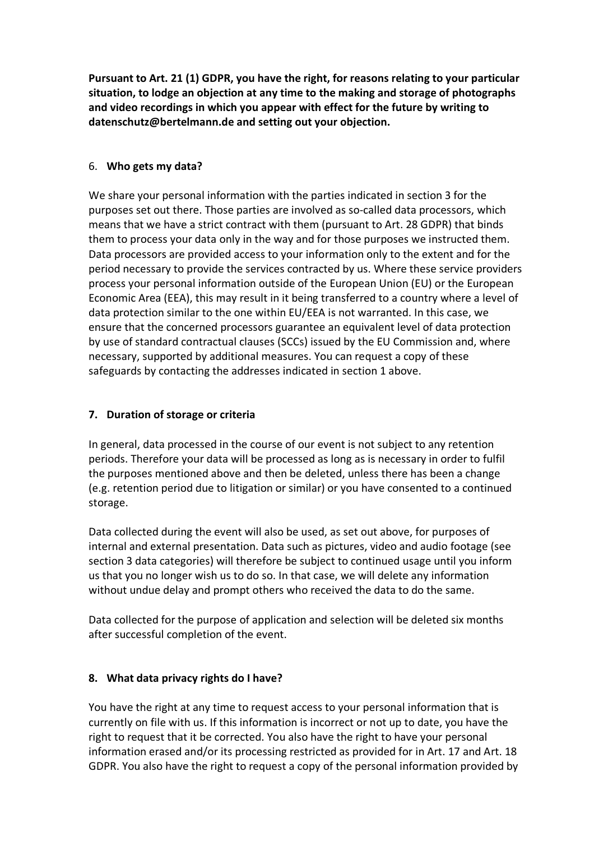**Pursuant to Art. 21 (1) GDPR, you have the right, for reasons relating to your particular situation, to lodge an objection at any time to the making and storage of photographs and video recordings in which you appear with effect for the future by writing to datenschutz@bertelmann.de and setting out your objection.**

## 6. **Who gets my data?**

We share your personal information with the parties indicated in section 3 for the purposes set out there. Those parties are involved as so-called data processors, which means that we have a strict contract with them (pursuant to Art. 28 GDPR) that binds them to process your data only in the way and for those purposes we instructed them. Data processors are provided access to your information only to the extent and for the period necessary to provide the services contracted by us. Where these service providers process your personal information outside of the European Union (EU) or the European Economic Area (EEA), this may result in it being transferred to a country where a level of data protection similar to the one within EU/EEA is not warranted. In this case, we ensure that the concerned processors guarantee an equivalent level of data protection by use of standard contractual clauses (SCCs) issued by the EU Commission and, where necessary, supported by additional measures. You can request a copy of these safeguards by contacting the addresses indicated in section 1 above.

# **7. Duration of storage or criteria**

In general, data processed in the course of our event is not subject to any retention periods. Therefore your data will be processed as long as is necessary in order to fulfil the purposes mentioned above and then be deleted, unless there has been a change (e.g. retention period due to litigation or similar) or you have consented to a continued storage.

Data collected during the event will also be used, as set out above, for purposes of internal and external presentation. Data such as pictures, video and audio footage (see section 3 data categories) will therefore be subject to continued usage until you inform us that you no longer wish us to do so. In that case, we will delete any information without undue delay and prompt others who received the data to do the same.

Data collected for the purpose of application and selection will be deleted six months after successful completion of the event.

# **8. What data privacy rights do I have?**

You have the right at any time to request access to your personal information that is currently on file with us. If this information is incorrect or not up to date, you have the right to request that it be corrected. You also have the right to have your personal information erased and/or its processing restricted as provided for in Art. 17 and Art. 18 GDPR. You also have the right to request a copy of the personal information provided by